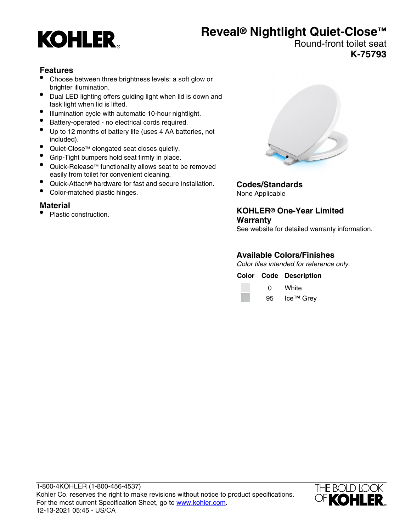# **KOHLER**

# **Reveal® Nightlight Quiet-Close™**

#### Round-front toilet seat **K-75793**

## **Features**

- Choose between three brightness levels: a soft glow or brighter illumination.
- Dual LED lighting offers guiding light when lid is down and task light when lid is lifted.
- Illumination cycle with automatic 10-hour nightlight.
- Battery-operated no electrical cords required.
- Up to 12 months of battery life (uses 4 AA batteries, not included).
- Quiet-Close™ elongated seat closes quietly.
- Grip-Tight bumpers hold seat firmly in place.
- Quick-Release™ functionality allows seat to be removed easily from toilet for convenient cleaning.
- Quick-Attach® hardware for fast and secure installation.
- Color-matched plastic hinges.

### **Material**

• Plastic construction.



**Codes/Standards** None Applicable

**KOHLER® One-Year Limited Warranty**

#### See website for detailed warranty information.

## **Available Colors/Finishes**

Color tiles intended for reference only.

**Color Code Description** 0 White 95 Ice™ Grey